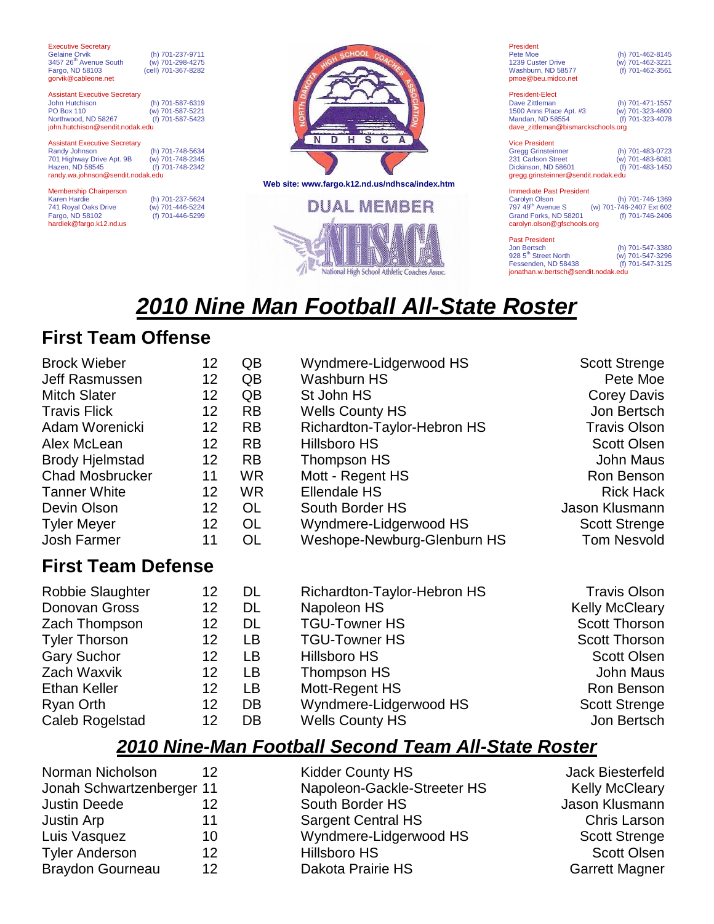| <b>Executive Secretary</b><br><b>Gelaine Orvik</b><br>3457 26 <sup>th</sup> Avenue South<br>Fargo, ND 58103<br>gorvik@cableone.net         | (h) 701-237-9711<br>(w) 701-298-4275<br>(cell) 701-367-8282 |                                                                                                                                                 |
|--------------------------------------------------------------------------------------------------------------------------------------------|-------------------------------------------------------------|-------------------------------------------------------------------------------------------------------------------------------------------------|
| <b>Assistant Executive Secretary</b><br>John Hutchison<br><b>PO Box 110</b><br>Northwood, ND 58267<br>john.hutchison@sendit.nodak.edu      | (h) 701-587-6319<br>(w) 701-587-5221<br>(f) 701-587-5423    |                                                                                                                                                 |
| <b>Assistant Executive Secretary</b><br>Randy Johnson<br>701 Highway Drive Apt. 9B<br>Hazen, ND 58545<br>randy.wa.johnson@sendit.nodak.edu | (h) 701-748-5634<br>(w) 701-748-2345<br>(f) 701-748-2342    |                                                                                                                                                 |
| <b>Membership Chairperson</b><br>Karen Hardie<br>741 Royal Oaks Drive                                                                      | (h) 701-237-5624<br>(w) 701-446-5224                        | Web site: www.fargo.k12.nd.us/ndhsca/index.htm<br><b>DUAL MEMBER</b>                                                                            |
| Fargo, ND 58102<br>hardiek@fargo.k12.nd.us                                                                                                 | 701-446-5299                                                | <b>College of the collection of the collection of the collection of the collection of the collection of the collection</b><br>$48 - 5$ mass $3$ |



| President          |                  |
|--------------------|------------------|
| Pete Moe           | (h) 701-462-8145 |
| 1239 Custer Drive  | (w) 701-462-3221 |
| Washburn, ND 58577 | (f) 701-462-3561 |
| pmoe@beu.midco.net |                  |

President-Elect Dave Zittleman (h) 701-471-1557 1500 Anns Place Apt. #3 (w) 701-323-4800 Mandan, ND 58554 (f) 701-323-4078 dave\_zittleman@bismarckschools.org

| <b>Vice President</b>               |                  |
|-------------------------------------|------------------|
| <b>Gregg Grinsteinner</b>           | (h) 701-483-0723 |
| 231 Carlson Street                  | (w) 701-483-6081 |
| Dickinson, ND 58601                 | (f) 701-483-1450 |
| gregg.grinsteinner@sendit.nodak.edu |                  |

Immediate Past President Carolyn Olson (h) 701-746-1369 797 49th Avenue S (w) 701-746-2407 Ext 602 Grand Forks, ND 58201 (f) 701-746-2406 carolyn.olson@gfschools.org

| <b>Past President</b>               |                  |  |
|-------------------------------------|------------------|--|
| Jon Bertsch                         | (h) 701-547-3380 |  |
| 928 5 <sup>th</sup> Street North    | (w) 701-547-3296 |  |
| Fessenden, ND 58438                 | (f) 701-547-3125 |  |
| jonathan.w.bertsch@sendit.nodak.edu |                  |  |

# *2010 Nine Man Football All-State Roster*

# **First Team Offense**

| <b>Brock Wieber</b>       | 12 <sub>2</sub>   | QB        | Wyndmere-Lidgerwood HS      | <b>Scott Strenge</b>  |
|---------------------------|-------------------|-----------|-----------------------------|-----------------------|
| Jeff Rasmussen            | 12 <sub>2</sub>   | QB        | <b>Washburn HS</b>          | Pete Moe              |
| <b>Mitch Slater</b>       | 12 <sub>2</sub>   | QB        | St John HS                  | <b>Corey Davis</b>    |
| <b>Travis Flick</b>       | 12 <sub>2</sub>   | <b>RB</b> | <b>Wells County HS</b>      | Jon Bertsch           |
| Adam Worenicki            | 12                | <b>RB</b> | Richardton-Taylor-Hebron HS | <b>Travis Olson</b>   |
| Alex McLean               | 12 <sub>2</sub>   | <b>RB</b> | Hillsboro HS                | <b>Scott Olsen</b>    |
| <b>Brody Hjelmstad</b>    | $12 \overline{ }$ | <b>RB</b> | Thompson HS                 | John Maus             |
| <b>Chad Mosbrucker</b>    | 11                | WR.       | Mott - Regent HS            | Ron Benson            |
| <b>Tanner White</b>       | 12 <sub>2</sub>   | WR.       | <b>Ellendale HS</b>         | <b>Rick Hack</b>      |
| Devin Olson               | 12                | <b>OL</b> | South Border HS             | Jason Klusmann        |
| <b>Tyler Meyer</b>        | 12                | <b>OL</b> | Wyndmere-Lidgerwood HS      | <b>Scott Strenge</b>  |
| Josh Farmer               | 11                | <b>OL</b> | Weshope-Newburg-Glenburn HS | <b>Tom Nesvold</b>    |
| <b>First Team Defense</b> |                   |           |                             |                       |
| <b>Robbie Slaughter</b>   | 12                | DL        | Richardton-Taylor-Hebron HS | <b>Travis Olson</b>   |
| Donovan Gross             | 12 <sub>2</sub>   | DL        | Napoleon HS                 | <b>Kelly McCleary</b> |
| Zach Thompson             | 12                | DL        | <b>TGU-Towner HS</b>        | <b>Scott Thorson</b>  |
| <b>Tyler Thorson</b>      | 12 <sub>2</sub>   | LB        | <b>TGU-Towner HS</b>        | <b>Scott Thorson</b>  |
| <b>Gary Suchor</b>        | 12                | LB.       | <b>Hillsboro HS</b>         | <b>Scott Olsen</b>    |
| Zach Waxvik               | 12 <sub>2</sub>   | LB.       | Thompson HS                 | <b>John Maus</b>      |
| <b>Ethan Keller</b>       | 12 <sub>2</sub>   | LB        | Mott-Regent HS              | Ron Benson            |
| Ryan Orth                 | 12 <sub>2</sub>   | DB        | Wyndmere-Lidgerwood HS      | <b>Scott Strenge</b>  |
| Caleb Rogelstad           | 12                | DB        | <b>Wells County HS</b>      | Jon Bertsch           |

### *2010 Nine-Man Football Second Team All-State Roster*

| Norman Nicholson          | 12 | <b>Kidder County HS</b>     | Jack Biesterfeld      |
|---------------------------|----|-----------------------------|-----------------------|
| Jonah Schwartzenberger 11 |    | Napoleon-Gackle-Streeter HS | <b>Kelly McCleary</b> |
| <b>Justin Deede</b>       | 12 | South Border HS             | Jason Klusmann        |
| Justin Arp                | 11 | <b>Sargent Central HS</b>   | Chris Larson          |
| Luis Vasquez              | 10 | Wyndmere-Lidgerwood HS      | <b>Scott Strenge</b>  |
| <b>Tyler Anderson</b>     | 12 | <b>Hillsboro HS</b>         | <b>Scott Olsen</b>    |
| <b>Braydon Gourneau</b>   | 12 | Dakota Prairie HS           | <b>Garrett Magner</b> |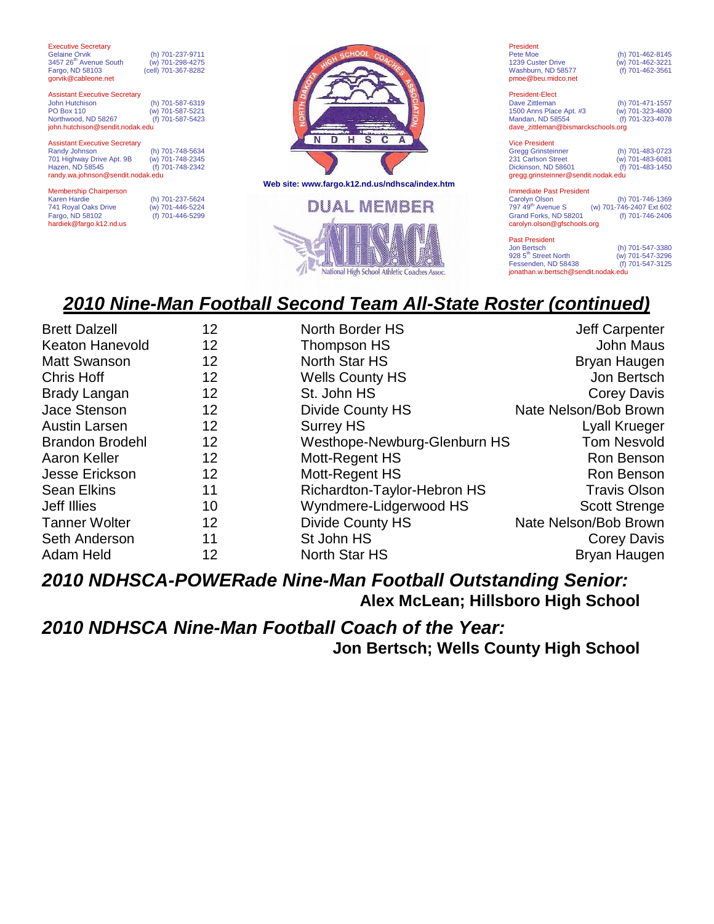| <b>Executive Secretary</b><br><b>Gelaine Orvik</b><br>(h) 701-237-9711<br>3457 26 <sup>th</sup> Avenue South<br>(w) 701-298-4275<br>Fargo, ND 58103<br>(cell) 701-367-8282<br>gorvik@cableone.net      |                                                                      |
|--------------------------------------------------------------------------------------------------------------------------------------------------------------------------------------------------------|----------------------------------------------------------------------|
| <b>Assistant Executive Secretary</b><br>John Hutchison<br>(h) 701-587-6319<br><b>PO Box 110</b><br>(w) 701-587-5221<br>Northwood, ND 58267<br>(f) 701-587-5423<br>john.hutchison@sendit.nodak.edu      |                                                                      |
| <b>Assistant Executive Secretary</b><br>Randy Johnson<br>(h) 701-748-5634<br>701 Highway Drive Apt. 9B<br>(w) 701-748-2345<br>Hazen, ND 58545<br>(f) 701-748-2342<br>randy.wa.johnson@sendit.nodak.edu |                                                                      |
| <b>Membership Chairperson</b><br><b>Karen Hardie</b><br>(h) 701-237-5624<br>741 Royal Oaks Drive<br>(w) 701-446-5224<br>Fargo, ND 58102<br>(f) 701-446-5299                                            | Web site: www.fargo.k12.nd.us/ndhsca/index.htm<br><b>DUAL MEMBER</b> |
| hardiek@fargo.k12.nd.us                                                                                                                                                                                | <b>Collection Second Collection Collection Collection</b>            |



| President          |                  |
|--------------------|------------------|
| Pete Moe           | (h) 701-462-8145 |
| 1239 Custer Drive  | (w) 701-462-3221 |
| Washburn, ND 58577 | (f) 701-462-3561 |
| pmoe@beu.midco.net |                  |

President-Elect Dave Zittleman (h) 701-471-1557<br>1500 Anns Place Apt. #3 (w) 701-323-4800 1500 Anns Place Apt. #3 (w) 701-323-4800<br>Mandan, ND 58554 (f) 701-323-4078 Mandan, ND 58554 dave\_zittleman@bismarckschools.org

| <b>Vice President</b>               |                  |  |
|-------------------------------------|------------------|--|
| <b>Gregg Grinsteinner</b>           | (h) 701-483-0723 |  |
| 231 Carlson Street                  | (w) 701-483-6081 |  |
| Dickinson, ND 58601                 | (f) 701-483-1450 |  |
| gregg.grinsteinner@sendit.nodak.edu |                  |  |

Immediate Past President Carolyn Olson (h) 701-746-1369 797 49th Avenue S (w) 701-746-2407 Ext 602 Grand Forks, ND 58201 (f) 701-746-2406 carolyn.olson@gfschools.org

| <b>Past President</b>               |                  |  |
|-------------------------------------|------------------|--|
| Jon Bertsch                         | (h) 701-547-3380 |  |
| 928 5 <sup>th</sup> Street North    | (w) 701-547-3296 |  |
| Fessenden, ND 58438                 | (f) 701-547-3125 |  |
| jonathan.w.bertsch@sendit.nodak.edu |                  |  |

## *2010 Nine-Man Football Second Team All-State Roster (continued)*

| <b>Brett Dalzell</b>   | 12                | North Border HS              | Jeff Carpenter        |
|------------------------|-------------------|------------------------------|-----------------------|
| <b>Keaton Hanevold</b> | 12                | Thompson HS                  | John Maus             |
| <b>Matt Swanson</b>    | 12                | North Star HS                | Bryan Haugen          |
| <b>Chris Hoff</b>      | 12                | <b>Wells County HS</b>       | Jon Bertsch           |
| <b>Brady Langan</b>    | 12                | St. John HS                  | Corey Davis           |
| Jace Stenson           | 12                | <b>Divide County HS</b>      | Nate Nelson/Bob Brown |
| <b>Austin Larsen</b>   | 12                | <b>Surrey HS</b>             | Lyall Krueger         |
| <b>Brandon Brodehl</b> | 12                | Westhope-Newburg-Glenburn HS | <b>Tom Nesvold</b>    |
| Aaron Keller           | $12 \overline{ }$ | Mott-Regent HS               | Ron Benson            |
| Jesse Erickson         | 12                | Mott-Regent HS               | Ron Benson            |
| <b>Sean Elkins</b>     | 11                | Richardton-Taylor-Hebron HS  | <b>Travis Olson</b>   |
| Jeff Illies            | 10                | Wyndmere-Lidgerwood HS       | <b>Scott Strenge</b>  |
| <b>Tanner Wolter</b>   | 12                | Divide County HS             | Nate Nelson/Bob Brown |
| <b>Seth Anderson</b>   | 11                | St John HS                   | Corey Davis           |
| Adam Held              | 12                | <b>North Star HS</b>         | Bryan Haugen          |

### *2010 NDHSCA-POWERade Nine-Man Football Outstanding Senior:*  **Alex McLean; Hillsboro High School**

*2010 NDHSCA Nine-Man Football Coach of the Year:* **Jon Bertsch; Wells County High School**